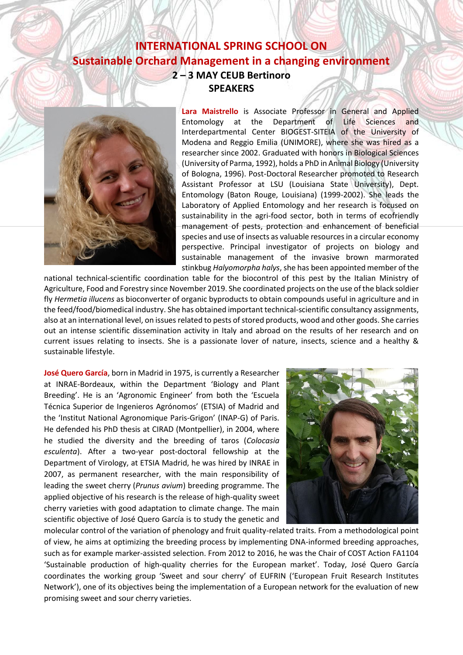## **INTERNATIONAL SPRING SCHOOL ON Sustainable Orchard Management in a changing environment 2 – 3 MAY CEUB Bertinoro SPEAKERS**



**Lara Maistrello** is Associate Professor in General and Applied Entomology at the Department of Life Sciences and Interdepartmental Center BIOGEST-SITEIA of the University of Modena and Reggio Emilia (UNIMORE), where she was hired as a researcher since 2002. Graduated with honors in Biological Sciences (University of Parma, 1992), holds a PhD in Animal Biology (University of Bologna, 1996). Post-Doctoral Researcher promoted to Research Assistant Professor at LSU (Louisiana State University), Dept. Entomology (Baton Rouge, Louisiana) (1999-2002). She leads the Laboratory of Applied Entomology and her research is focused on sustainability in the agri-food sector, both in terms of ecofriendly management of pests, protection and enhancement of beneficial species and use of insects as valuable resources in a circular economy perspective. Principal investigator of projects on biology and sustainable management of the invasive brown marmorated stinkbug *Halyomorpha halys*, she has been appointed member of the

national technical-scientific coordination table for the biocontrol of this pest by the Italian Ministry of Agriculture, Food and Forestry since November 2019. She coordinated projects on the use of the black soldier fly *Hermetia illucens* as bioconverter of organic byproducts to obtain compounds useful in agriculture and in the feed/food/biomedical industry. She has obtained important technical-scientific consultancy assignments, also at an international level, on issues related to pests of stored products, wood and other goods. She carries out an intense scientific dissemination activity in Italy and abroad on the results of her research and on current issues relating to insects. She is a passionate lover of nature, insects, science and a healthy & sustainable lifestyle.

**José Quero García**, born in Madrid in 1975, is currently a Researcher at INRAE-Bordeaux, within the Department 'Biology and Plant Breeding'. He is an 'Agronomic Engineer' from both the 'Escuela Técnica Superior de Ingenieros Agrónomos' (ETSIA) of Madrid and the 'Institut National Agronomique Paris-Grigon' (INAP-G) of Paris. He defended his PhD thesis at CIRAD (Montpellier), in 2004, where he studied the diversity and the breeding of taros (*Colocasia esculenta*). After a two-year post-doctoral fellowship at the Department of Virology, at ETSIA Madrid, he was hired by INRAE in 2007, as permanent researcher, with the main responsibility of leading the sweet cherry (*Prunus avium*) breeding programme. The applied objective of his research is the release of high-quality sweet cherry varieties with good adaptation to climate change. The main scientific objective of José Quero García is to study the genetic and



molecular control of the variation of phenology and fruit quality-related traits. From a methodological point of view, he aims at optimizing the breeding process by implementing DNA-informed breeding approaches, such as for example marker-assisted selection. From 2012 to 2016, he was the Chair of COST Action FA1104 'Sustainable production of high-quality cherries for the European market'. Today, José Quero García coordinates the working group 'Sweet and sour cherry' of EUFRIN ('European Fruit Research Institutes Network'), one of its objectives being the implementation of a European network for the evaluation of new promising sweet and sour cherry varieties.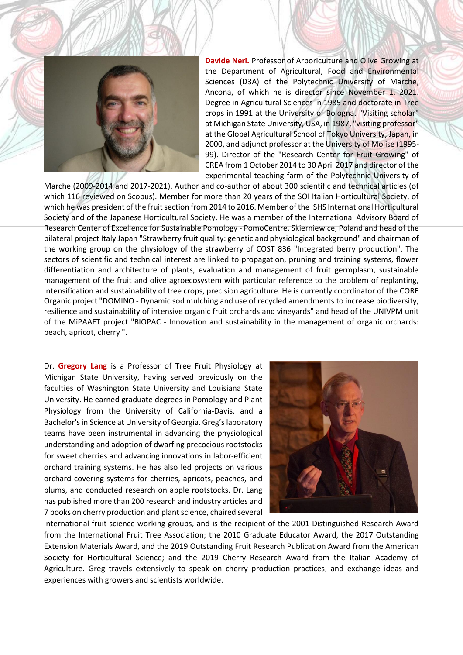

**Davide Neri.** Professor of Arboriculture and Olive Growing at the Department of Agricultural, Food and Environmental Sciences (D3A) of the Polytechnic University of Marche, Ancona, of which he is director since November 1, 2021. Degree in Agricultural Sciences in 1985 and doctorate in Tree crops in 1991 at the University of Bologna. "Visiting scholar" at Michigan State University, USA, in 1987, "visiting professor" at the Global Agricultural School of Tokyo University, Japan, in 2000, and adjunct professor at the University of Molise (1995- 99). Director of the "Research Center for Fruit Growing" of CREA from 1 October 2014 to 30 April 2017 and director of the experimental teaching farm of the Polytechnic University of

Marche (2009-2014 and 2017-2021). Author and co-author of about 300 scientific and technical articles (of which 116 reviewed on Scopus). Member for more than 20 years of the SOI Italian Horticultural Society, of which he was president of the fruit section from 2014 to 2016. Member of the ISHS International Horticultural Society and of the Japanese Horticultural Society. He was a member of the International Advisory Board of Research Center of Excellence for Sustainable Pomology - PomoCentre, Skierniewice, Poland and head of the bilateral project Italy Japan "Strawberry fruit quality: genetic and physiological background" and chairman of the working group on the physiology of the strawberry of COST 836 "Integrated berry production". The sectors of scientific and technical interest are linked to propagation, pruning and training systems, flower differentiation and architecture of plants, evaluation and management of fruit germplasm, sustainable management of the fruit and olive agroecosystem with particular reference to the problem of replanting, intensification and sustainability of tree crops, precision agriculture. He is currently coordinator of the CORE Organic project "DOMINO - Dynamic sod mulching and use of recycled amendments to increase biodiversity, resilience and sustainability of intensive organic fruit orchards and vineyards" and head of the UNIVPM unit of the MiPAAFT project "BIOPAC - Innovation and sustainability in the management of organic orchards: peach, apricot, cherry ".

Dr. **Gregory Lang** is a Professor of Tree Fruit Physiology at Michigan State University, having served previously on the faculties of Washington State University and Louisiana State University. He earned graduate degrees in Pomology and Plant Physiology from the University of California-Davis, and a Bachelor's in Science at University of Georgia. Greg's laboratory teams have been instrumental in advancing the physiological understanding and adoption of dwarfing precocious rootstocks for sweet cherries and advancing innovations in labor-efficient orchard training systems. He has also led projects on various orchard covering systems for cherries, apricots, peaches, and plums, and conducted research on apple rootstocks. Dr. Lang has published more than 200 research and industry articles and 7 books on cherry production and plant science, chaired several



international fruit science working groups, and is the recipient of the 2001 Distinguished Research Award from the International Fruit Tree Association; the 2010 Graduate Educator Award, the 2017 Outstanding Extension Materials Award, and the 2019 Outstanding Fruit Research Publication Award from the American Society for Horticultural Science; and the 2019 Cherry Research Award from the Italian Academy of Agriculture. Greg travels extensively to speak on cherry production practices, and exchange ideas and experiences with growers and scientists worldwide.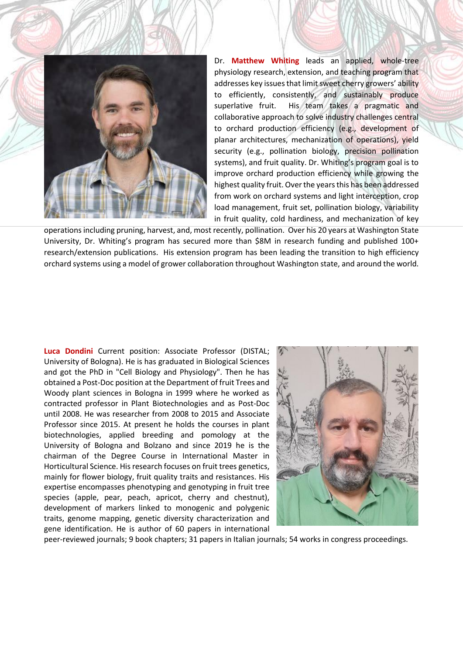

Dr. **Matthew Whiting** leads an applied, whole-tree physiology research, extension, and teaching program that addresses key issues that limit sweet cherry growers' ability to efficiently, consistently, and sustainably produce superlative fruit. His team takes a pragmatic and collaborative approach to solve industry challenges central to orchard production efficiency (e.g., development of planar architectures, mechanization of operations), yield security (e.g., pollination biology, precision pollination systems), and fruit quality. Dr. Whiting's program goal is to improve orchard production efficiency while growing the highest quality fruit. Over the years this has been addressed from work on orchard systems and light interception, crop load management, fruit set, pollination biology, variability in fruit quality, cold hardiness, and mechanization of key

operations including pruning, harvest, and, most recently, pollination. Over his 20 years at Washington State University, Dr. Whiting's program has secured more than \$8M in research funding and published 100+ research/extension publications. His extension program has been leading the transition to high efficiency orchard systems using a model of grower collaboration throughout Washington state, and around the world.

**Luca Dondini** Current position: Associate Professor (DISTAL; University of Bologna). He is has graduated in Biological Sciences and got the PhD in "Cell Biology and Physiology". Then he has obtained a Post-Doc position at the Department of fruit Trees and Woody plant sciences in Bologna in 1999 where he worked as contracted professor in Plant Biotechnologies and as Post-Doc until 2008. He was researcher from 2008 to 2015 and Associate Professor since 2015. At present he holds the courses in plant biotechnologies, applied breeding and pomology at the University of Bologna and Bolzano and since 2019 he is the chairman of the Degree Course in International Master in Horticultural Science. His research focuses on fruit trees genetics, mainly for flower biology, fruit quality traits and resistances. His expertise encompasses phenotyping and genotyping in fruit tree species (apple, pear, peach, apricot, cherry and chestnut), development of markers linked to monogenic and polygenic traits, genome mapping, genetic diversity characterization and gene identification. He is author of 60 papers in international



peer-reviewed journals; 9 book chapters; 31 papers in Italian journals; 54 works in congress proceedings.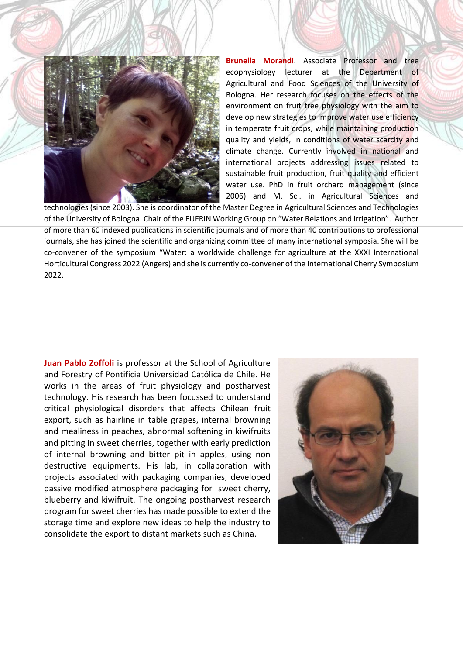

**Brunella Morandi**. Associate Professor and tree ecophysiology lecturer at the Department of Agricultural and Food Sciences of the University of Bologna. Her research focuses on the effects of the environment on fruit tree physiology with the aim to develop new strategies to improve water use efficiency in temperate fruit crops, while maintaining production quality and yields, in conditions of water scarcity and climate change. Currently involved in national and international projects addressing issues related to sustainable fruit production, fruit quality and efficient water use. PhD in fruit orchard management (since 2006) and M. Sci. in Agricultural Sciences and

technologies (since 2003). She is coordinator of the Master Degree in Agricultural Sciences and Technologies of the University of Bologna. Chair of the EUFRIN Working Group on "Water Relations and Irrigation". Author of more than 60 indexed publications in scientific journals and of more than 40 contributions to professional journals, she has joined the scientific and organizing committee of many international symposia. She will be co-convener of the symposium "Water: a worldwide challenge for agriculture at the XXXI International Horticultural Congress 2022 (Angers) and she is currently co-convener of the International Cherry Symposium 2022.

**Juan Pablo Zoffoli** is professor at the School of Agriculture and Forestry of Pontificia Universidad Católica de Chile. He works in the areas of fruit physiology and postharvest technology. His research has been focussed to understand critical physiological disorders that affects Chilean fruit export, such as hairline in table grapes, internal browning and mealiness in peaches, abnormal softening in kiwifruits and pitting in sweet cherries, together with early prediction of internal browning and bitter pit in apples, using non destructive equipments. His lab, in collaboration with projects associated with packaging companies, developed passive modified atmosphere packaging for sweet cherry, blueberry and kiwifruit. The ongoing postharvest research program for sweet cherries has made possible to extend the storage time and explore new ideas to help the industry to consolidate the export to distant markets such as China.